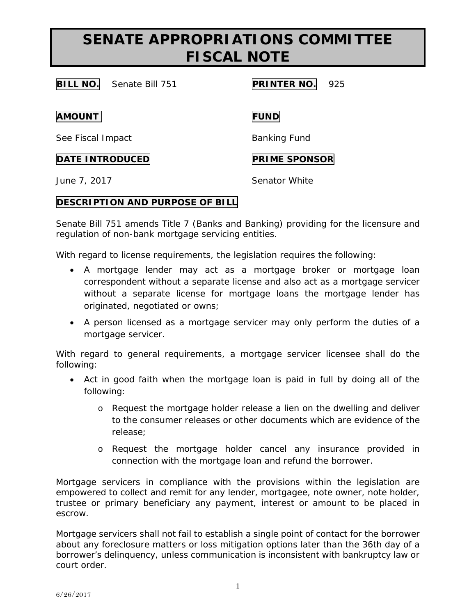# **SENATE APPROPRIATIONS COMMITTEE FISCAL NOTE**

**BILL NO.** Senate Bill 751 **PRINTER NO.** 925

**AMOUNT FUND**

See Fiscal Impact Banking Fund

## **DATE INTRODUCED PRIME SPONSOR**

June 7, 2017 Senator White

## **DESCRIPTION AND PURPOSE OF BILL**

Senate Bill 751 amends Title 7 (Banks and Banking) providing for the licensure and regulation of non-bank mortgage servicing entities.

With regard to license requirements, the legislation requires the following:

- A mortgage lender may act as a mortgage broker or mortgage loan correspondent without a separate license and also act as a mortgage servicer without a separate license for mortgage loans the mortgage lender has originated, negotiated or owns;
- A person licensed as a mortgage servicer may only perform the duties of a mortgage servicer.

With regard to general requirements, a mortgage servicer licensee shall do the following:

- Act in good faith when the mortgage loan is paid in full by doing all of the following:
	- o Request the mortgage holder release a lien on the dwelling and deliver to the consumer releases or other documents which are evidence of the release;
	- o Request the mortgage holder cancel any insurance provided in connection with the mortgage loan and refund the borrower.

Mortgage servicers in compliance with the provisions within the legislation are empowered to collect and remit for any lender, mortgagee, note owner, note holder, trustee or primary beneficiary any payment, interest or amount to be placed in escrow.

Mortgage servicers shall not fail to establish a single point of contact for the borrower about any foreclosure matters or loss mitigation options later than the 36th day of a borrower's delinquency, unless communication is inconsistent with bankruptcy law or court order.